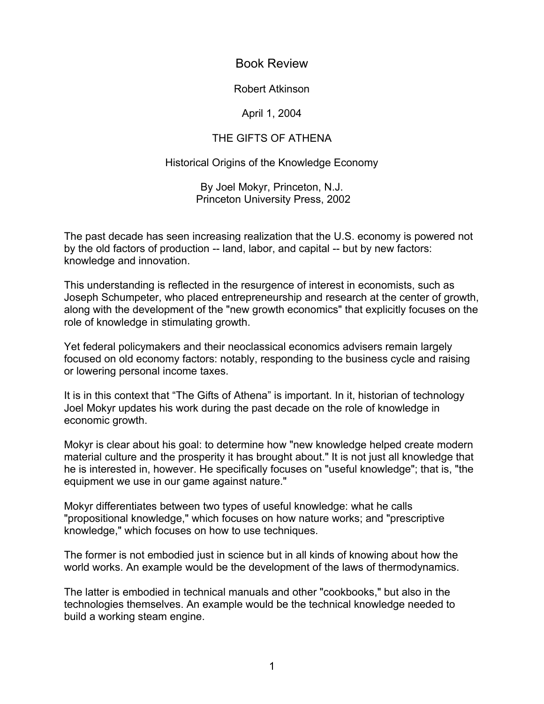Book Review

Robert Atkinson

April 1, 2004

## THE GIFTS OF ATHENA

## Historical Origins of the Knowledge Economy

By Joel Mokyr, Princeton, N.J. Princeton University Press, 2002

The past decade has seen increasing realization that the U.S. economy is powered not by the old factors of production -- land, labor, and capital -- but by new factors: knowledge and innovation.

This understanding is reflected in the resurgence of interest in economists, such as Joseph Schumpeter, who placed entrepreneurship and research at the center of growth, along with the development of the "new growth economics" that explicitly focuses on the role of knowledge in stimulating growth.

Yet federal policymakers and their neoclassical economics advisers remain largely focused on old economy factors: notably, responding to the business cycle and raising or lowering personal income taxes.

It is in this context that "The Gifts of Athena" is important. In it, historian of technology Joel Mokyr updates his work during the past decade on the role of knowledge in economic growth.

Mokyr is clear about his goal: to determine how "new knowledge helped create modern material culture and the prosperity it has brought about." It is not just all knowledge that he is interested in, however. He specifically focuses on "useful knowledge"; that is, "the equipment we use in our game against nature."

Mokyr differentiates between two types of useful knowledge: what he calls "propositional knowledge," which focuses on how nature works; and "prescriptive knowledge," which focuses on how to use techniques.

The former is not embodied just in science but in all kinds of knowing about how the world works. An example would be the development of the laws of thermodynamics.

The latter is embodied in technical manuals and other "cookbooks," but also in the technologies themselves. An example would be the technical knowledge needed to build a working steam engine.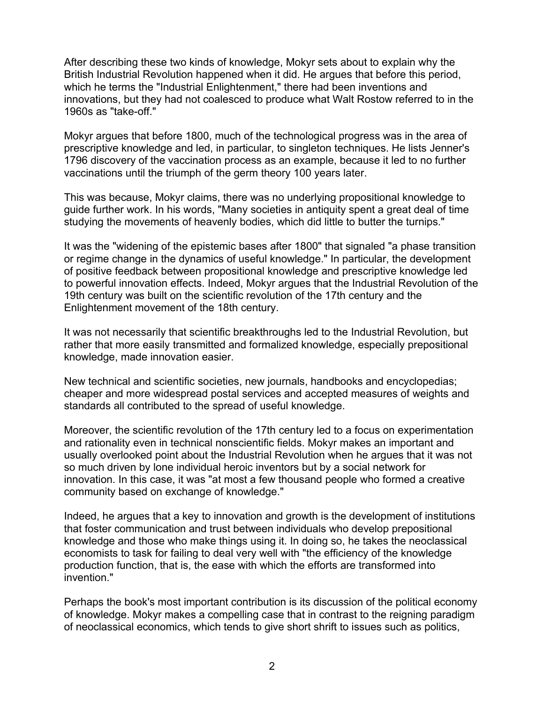After describing these two kinds of knowledge, Mokyr sets about to explain why the British Industrial Revolution happened when it did. He argues that before this period, which he terms the "Industrial Enlightenment," there had been inventions and innovations, but they had not coalesced to produce what Walt Rostow referred to in the 1960s as "take-off."

Mokyr argues that before 1800, much of the technological progress was in the area of prescriptive knowledge and led, in particular, to singleton techniques. He lists Jenner's 1796 discovery of the vaccination process as an example, because it led to no further vaccinations until the triumph of the germ theory 100 years later.

This was because, Mokyr claims, there was no underlying propositional knowledge to guide further work. In his words, "Many societies in antiquity spent a great deal of time studying the movements of heavenly bodies, which did little to butter the turnips."

It was the "widening of the epistemic bases after 1800" that signaled "a phase transition or regime change in the dynamics of useful knowledge." In particular, the development of positive feedback between propositional knowledge and prescriptive knowledge led to powerful innovation effects. Indeed, Mokyr argues that the Industrial Revolution of the 19th century was built on the scientific revolution of the 17th century and the Enlightenment movement of the 18th century.

It was not necessarily that scientific breakthroughs led to the Industrial Revolution, but rather that more easily transmitted and formalized knowledge, especially prepositional knowledge, made innovation easier.

New technical and scientific societies, new journals, handbooks and encyclopedias; cheaper and more widespread postal services and accepted measures of weights and standards all contributed to the spread of useful knowledge.

Moreover, the scientific revolution of the 17th century led to a focus on experimentation and rationality even in technical nonscientific fields. Mokyr makes an important and usually overlooked point about the Industrial Revolution when he argues that it was not so much driven by lone individual heroic inventors but by a social network for innovation. In this case, it was "at most a few thousand people who formed a creative community based on exchange of knowledge."

Indeed, he argues that a key to innovation and growth is the development of institutions that foster communication and trust between individuals who develop prepositional knowledge and those who make things using it. In doing so, he takes the neoclassical economists to task for failing to deal very well with "the efficiency of the knowledge production function, that is, the ease with which the efforts are transformed into invention."

Perhaps the book's most important contribution is its discussion of the political economy of knowledge. Mokyr makes a compelling case that in contrast to the reigning paradigm of neoclassical economics, which tends to give short shrift to issues such as politics,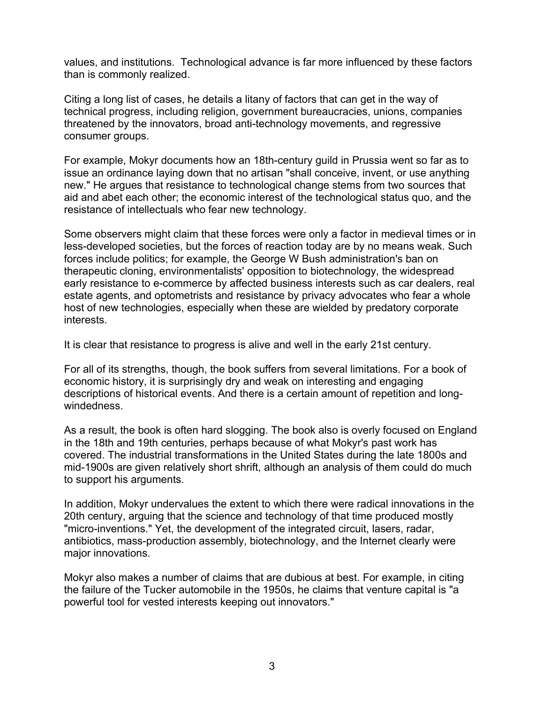values, and institutions. Technological advance is far more influenced by these factors than is commonly realized.

Citing a long list of cases, he details a litany of factors that can get in the way of technical progress, including religion, government bureaucracies, unions, companies threatened by the innovators, broad anti-technology movements, and regressive consumer groups.

For example, Mokyr documents how an 18th-century guild in Prussia went so far as to issue an ordinance laying down that no artisan "shall conceive, invent, or use anything new." He argues that resistance to technological change stems from two sources that aid and abet each other; the economic interest of the technological status quo, and the resistance of intellectuals who fear new technology.

Some observers might claim that these forces were only a factor in medieval times or in less-developed societies, but the forces of reaction today are by no means weak. Such forces include politics; for example, the George W Bush administration's ban on therapeutic cloning, environmentalists' opposition to biotechnology, the widespread early resistance to e-commerce by affected business interests such as car dealers, real estate agents, and optometrists and resistance by privacy advocates who fear a whole host of new technologies, especially when these are wielded by predatory corporate interests.

It is clear that resistance to progress is alive and well in the early 21st century.

For all of its strengths, though, the book suffers from several limitations. For a book of economic history, it is surprisingly dry and weak on interesting and engaging descriptions of historical events. And there is a certain amount of repetition and longwindedness.

As a result, the book is often hard slogging. The book also is overly focused on England in the 18th and 19th centuries, perhaps because of what Mokyr's past work has covered. The industrial transformations in the United States during the late 1800s and mid-1900s are given relatively short shrift, although an analysis of them could do much to support his arguments.

In addition, Mokyr undervalues the extent to which there were radical innovations in the 20th century, arguing that the science and technology of that time produced mostly "micro-inventions." Yet, the development of the integrated circuit, lasers, radar, antibiotics, mass-production assembly, biotechnology, and the Internet clearly were major innovations.

Mokyr also makes a number of claims that are dubious at best. For example, in citing the failure of the Tucker automobile in the 1950s, he claims that venture capital is "a powerful tool for vested interests keeping out innovators."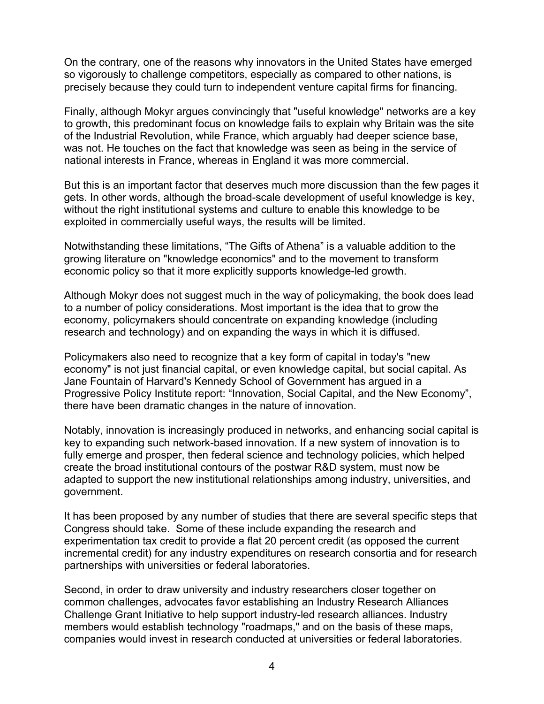On the contrary, one of the reasons why innovators in the United States have emerged so vigorously to challenge competitors, especially as compared to other nations, is precisely because they could turn to independent venture capital firms for financing.

Finally, although Mokyr argues convincingly that "useful knowledge" networks are a key to growth, this predominant focus on knowledge fails to explain why Britain was the site of the Industrial Revolution, while France, which arguably had deeper science base, was not. He touches on the fact that knowledge was seen as being in the service of national interests in France, whereas in England it was more commercial.

But this is an important factor that deserves much more discussion than the few pages it gets. In other words, although the broad-scale development of useful knowledge is key, without the right institutional systems and culture to enable this knowledge to be exploited in commercially useful ways, the results will be limited.

Notwithstanding these limitations, "The Gifts of Athena" is a valuable addition to the growing literature on "knowledge economics" and to the movement to transform economic policy so that it more explicitly supports knowledge-led growth.

Although Mokyr does not suggest much in the way of policymaking, the book does lead to a number of policy considerations. Most important is the idea that to grow the economy, policymakers should concentrate on expanding knowledge (including research and technology) and on expanding the ways in which it is diffused.

Policymakers also need to recognize that a key form of capital in today's "new economy" is not just financial capital, or even knowledge capital, but social capital. As Jane Fountain of Harvard's Kennedy School of Government has argued in a Progressive Policy Institute report: "Innovation, Social Capital, and the New Economy", there have been dramatic changes in the nature of innovation.

Notably, innovation is increasingly produced in networks, and enhancing social capital is key to expanding such network-based innovation. If a new system of innovation is to fully emerge and prosper, then federal science and technology policies, which helped create the broad institutional contours of the postwar R&D system, must now be adapted to support the new institutional relationships among industry, universities, and government.

It has been proposed by any number of studies that there are several specific steps that Congress should take. Some of these include expanding the research and experimentation tax credit to provide a flat 20 percent credit (as opposed the current incremental credit) for any industry expenditures on research consortia and for research partnerships with universities or federal laboratories.

Second, in order to draw university and industry researchers closer together on common challenges, advocates favor establishing an Industry Research Alliances Challenge Grant Initiative to help support industry-led research alliances. Industry members would establish technology "roadmaps," and on the basis of these maps, companies would invest in research conducted at universities or federal laboratories.